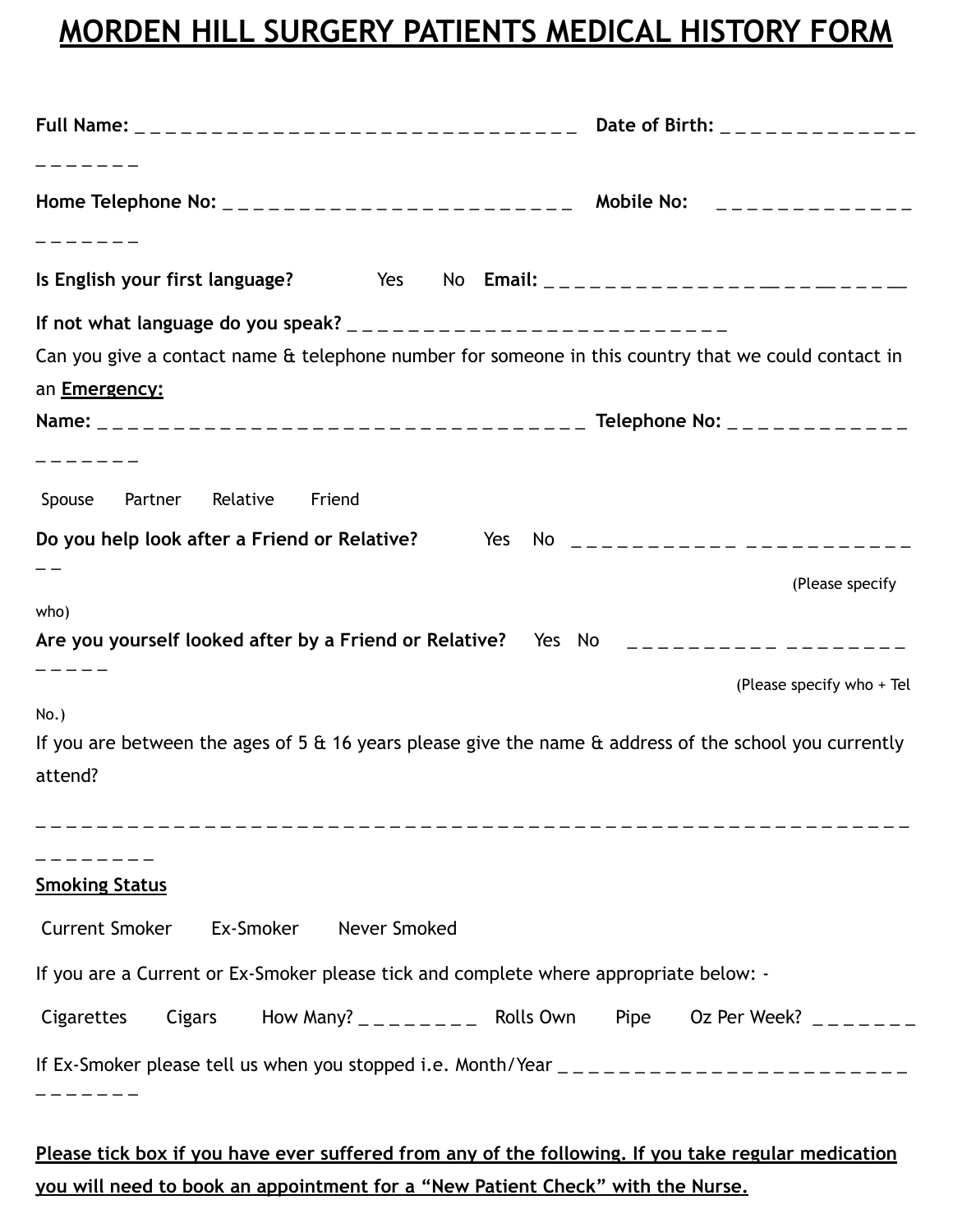## **MORDEN HILL SURGERY PATIENTS MEDICAL HISTORY FORM**

| Full Name: _________________________________ Date of Birth: _____________                                                                                                                                                                                                                          |                               |
|----------------------------------------------------------------------------------------------------------------------------------------------------------------------------------------------------------------------------------------------------------------------------------------------------|-------------------------------|
|                                                                                                                                                                                                                                                                                                    |                               |
|                                                                                                                                                                                                                                                                                                    |                               |
|                                                                                                                                                                                                                                                                                                    |                               |
| Can you give a contact name & telephone number for someone in this country that we could contact in                                                                                                                                                                                                |                               |
| an <b>Emergency:</b>                                                                                                                                                                                                                                                                               |                               |
|                                                                                                                                                                                                                                                                                                    |                               |
|                                                                                                                                                                                                                                                                                                    |                               |
| Spouse Partner Relative<br>Friend                                                                                                                                                                                                                                                                  |                               |
| Do you help look after a Friend or Relative? Yes No $\frac{1}{2}$ $\frac{1}{2}$ No $\frac{1}{2}$ $\frac{1}{2}$ $\frac{1}{2}$ $\frac{1}{2}$ $\frac{1}{2}$ $\frac{1}{2}$ $\frac{1}{2}$ $\frac{1}{2}$ $\frac{1}{2}$ $\frac{1}{2}$ $\frac{1}{2}$ $\frac{1}{2}$ $\frac{1}{2}$ $\frac{1}{2}$ $\frac{1}{$ |                               |
|                                                                                                                                                                                                                                                                                                    | (Please specify               |
| who)                                                                                                                                                                                                                                                                                               |                               |
| Are you yourself looked after by a Friend or Relative? Yes No $\Box$                                                                                                                                                                                                                               |                               |
|                                                                                                                                                                                                                                                                                                    | (Please specify who + Tel     |
| $No.$ )                                                                                                                                                                                                                                                                                            |                               |
| If you are between the ages of 5 $\alpha$ 16 years please give the name $\alpha$ address of the school you currently                                                                                                                                                                               |                               |
| attend?                                                                                                                                                                                                                                                                                            |                               |
|                                                                                                                                                                                                                                                                                                    |                               |
|                                                                                                                                                                                                                                                                                                    |                               |
| <b>Smoking Status</b>                                                                                                                                                                                                                                                                              |                               |
| <b>Current Smoker</b><br>Never Smoked<br>Ex-Smoker                                                                                                                                                                                                                                                 |                               |
| If you are a Current or Ex-Smoker please tick and complete where appropriate below: -                                                                                                                                                                                                              |                               |
| Cigarettes<br>Cigars                                                                                                                                                                                                                                                                               | Pipe<br>Oz Per Week? $     -$ |
| If Ex-Smoker please tell us when you stopped i.e. Month/Year $\frac{1}{2}$ = $\frac{1}{2}$ = $\frac{1}{2}$ = $\frac{1}{2}$ = $\frac{1}{2}$ = $\frac{1}{2}$ = $\frac{1}{2}$ = $\frac{1}{2}$ = $\frac{1}{2}$ = $\frac{1}{2}$ = $\frac{1}{2}$ = $\frac{1}{2}$ = $\frac{1}{2}$ = $\frac{$              |                               |
|                                                                                                                                                                                                                                                                                                    |                               |
|                                                                                                                                                                                                                                                                                                    |                               |

**Please tick box if you have ever suffered from any of the following. If you take regular medication you will need to book an appointment for a "New Patient Check" with the Nurse.**